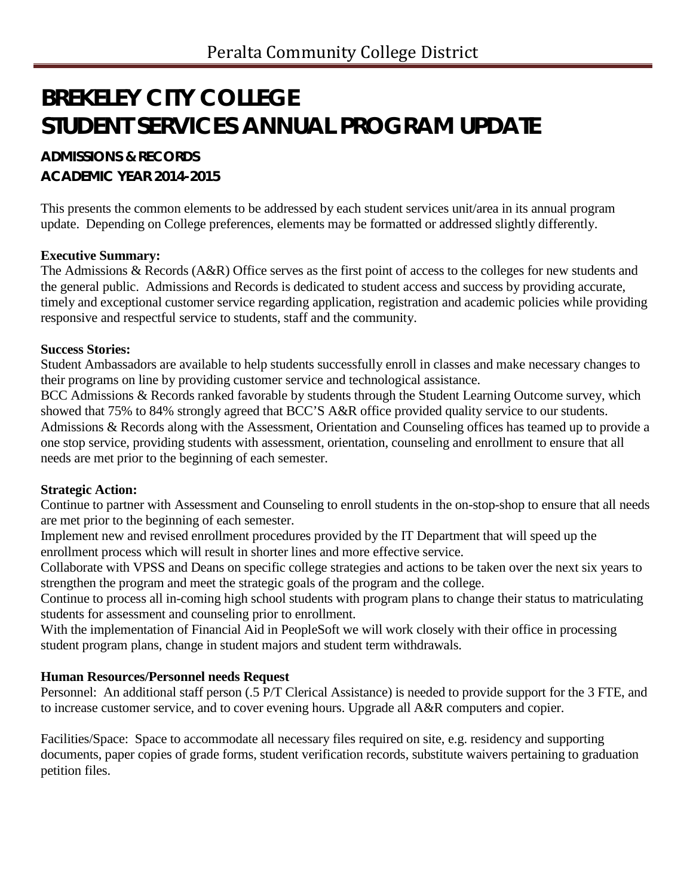# **BREKELEY CITY COLLEGE STUDENT SERVICES ANNUAL PROGRAM UPDATE**

# **ADMISSIONS & RECORDS ACADEMIC YEAR 2014-2015**

This presents the common elements to be addressed by each student services unit/area in its annual program update. Depending on College preferences, elements may be formatted or addressed slightly differently.

# **Executive Summary:**

The Admissions & Records (A&R) Office serves as the first point of access to the colleges for new students and the general public. Admissions and Records is dedicated to student access and success by providing accurate, timely and exceptional customer service regarding application, registration and academic policies while providing responsive and respectful service to students, staff and the community.

## **Success Stories:**

Student Ambassadors are available to help students successfully enroll in classes and make necessary changes to their programs on line by providing customer service and technological assistance.

BCC Admissions & Records ranked favorable by students through the Student Learning Outcome survey, which showed that 75% to 84% strongly agreed that BCC'S A&R office provided quality service to our students. Admissions & Records along with the Assessment, Orientation and Counseling offices has teamed up to provide a one stop service, providing students with assessment, orientation, counseling and enrollment to ensure that all needs are met prior to the beginning of each semester.

# **Strategic Action:**

Continue to partner with Assessment and Counseling to enroll students in the on-stop-shop to ensure that all needs are met prior to the beginning of each semester.

Implement new and revised enrollment procedures provided by the IT Department that will speed up the enrollment process which will result in shorter lines and more effective service.

Collaborate with VPSS and Deans on specific college strategies and actions to be taken over the next six years to strengthen the program and meet the strategic goals of the program and the college.

Continue to process all in-coming high school students with program plans to change their status to matriculating students for assessment and counseling prior to enrollment.

With the implementation of Financial Aid in PeopleSoft we will work closely with their office in processing student program plans, change in student majors and student term withdrawals.

# **Human Resources/Personnel needs Request**

Personnel: An additional staff person (.5 P/T Clerical Assistance) is needed to provide support for the 3 FTE, and to increase customer service, and to cover evening hours. Upgrade all A&R computers and copier.

Facilities/Space: Space to accommodate all necessary files required on site, e.g. residency and supporting documents, paper copies of grade forms, student verification records, substitute waivers pertaining to graduation petition files.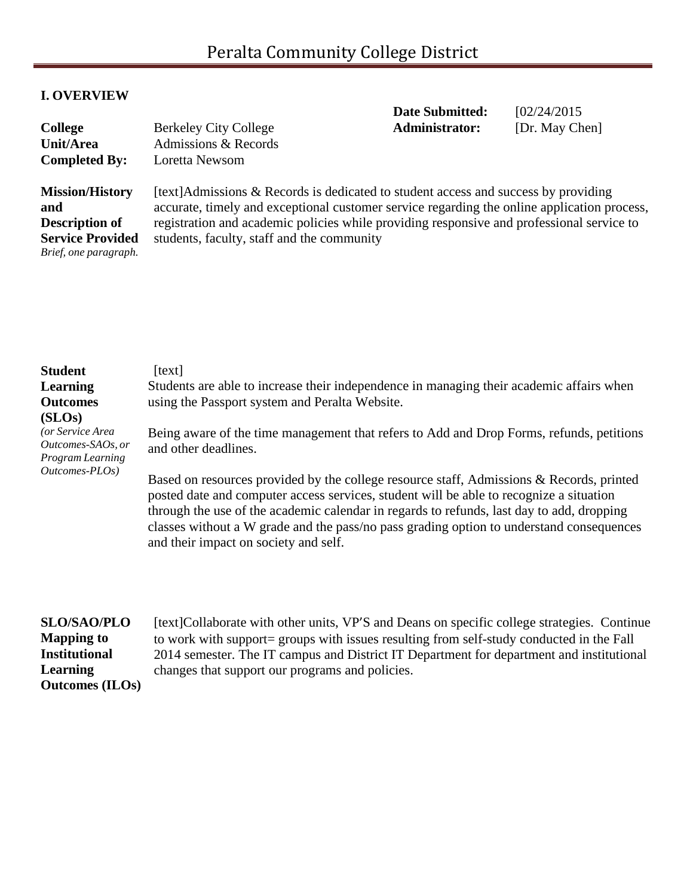# **I. OVERVIEW**

| <b>College</b><br>Unit/Area<br><b>Completed By:</b>                                                        | <b>Berkeley City College</b><br>Admissions & Records<br>Loretta Newsom                                                                                                                                                                                                                                                        | <b>Date Submitted:</b><br><b>Administrator:</b> | [02/24/2015]<br>[Dr. May Chen] |
|------------------------------------------------------------------------------------------------------------|-------------------------------------------------------------------------------------------------------------------------------------------------------------------------------------------------------------------------------------------------------------------------------------------------------------------------------|-------------------------------------------------|--------------------------------|
| <b>Mission/History</b><br>and<br><b>Description of</b><br><b>Service Provided</b><br>Brief, one paragraph. | [text] Admissions & Records is dedicated to student access and success by providing<br>accurate, timely and exceptional customer service regarding the online application process,<br>registration and academic policies while providing responsive and professional service to<br>students, faculty, staff and the community |                                                 |                                |

| <b>Student</b><br><b>Learning</b><br><b>Outcomes</b><br>(SLOS) | text <br>Students are able to increase their independence in managing their academic affairs when<br>using the Passport system and Peralta Website.                                                                                                                                                                                                                                                                   |
|----------------------------------------------------------------|-----------------------------------------------------------------------------------------------------------------------------------------------------------------------------------------------------------------------------------------------------------------------------------------------------------------------------------------------------------------------------------------------------------------------|
| (or Service Area)<br>Outcomes-SAOs, or<br>Program Learning     | Being aware of the time management that refers to Add and Drop Forms, refunds, petitions<br>and other deadlines.                                                                                                                                                                                                                                                                                                      |
| Outcomes-PLOs)                                                 | Based on resources provided by the college resource staff, Admissions & Records, printed<br>posted date and computer access services, student will be able to recognize a situation<br>through the use of the academic calendar in regards to refunds, last day to add, dropping<br>classes without a W grade and the pass/no pass grading option to understand consequences<br>and their impact on society and self. |

**SLO/SAO/PLO Mapping to Institutional Learning Outcomes (ILOs)** [text]Collaborate with other units, VP'S and Deans on specific college strategies. Continue to work with support= groups with issues resulting from self-study conducted in the Fall 2014 semester. The IT campus and District IT Department for department and institutional changes that support our programs and policies.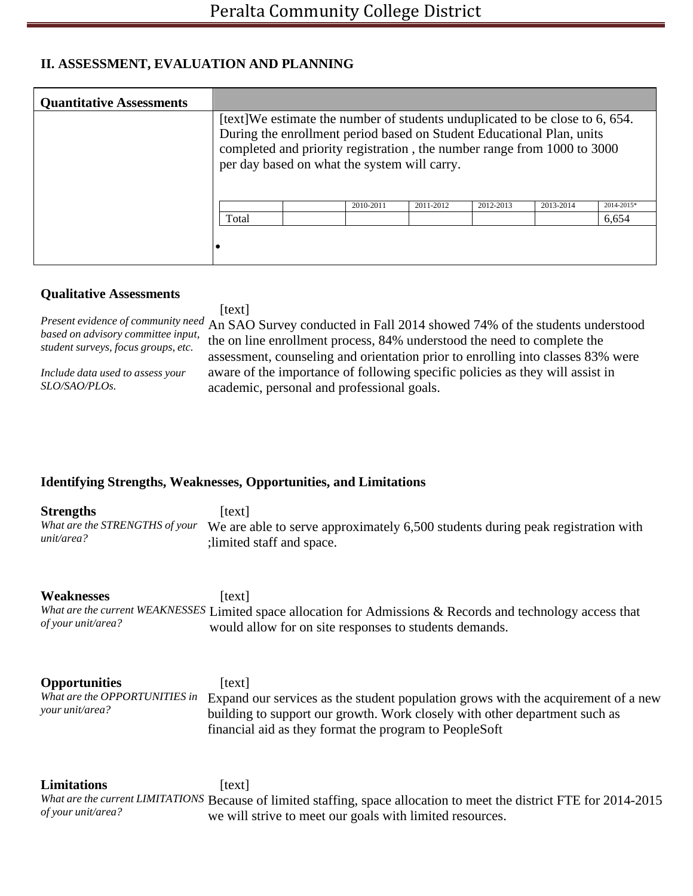# **II. ASSESSMENT, EVALUATION AND PLANNING**

| <b>Quantitative Assessments</b> |                                                                                                                                                                                                  |  |           |           |           |           |            |  |
|---------------------------------|--------------------------------------------------------------------------------------------------------------------------------------------------------------------------------------------------|--|-----------|-----------|-----------|-----------|------------|--|
|                                 | [text] We estimate the number of students unduplicated to be close to 6, 654.                                                                                                                    |  |           |           |           |           |            |  |
|                                 | During the enrollment period based on Student Educational Plan, units<br>completed and priority registration, the number range from 1000 to 3000<br>per day based on what the system will carry. |  |           |           |           |           |            |  |
|                                 |                                                                                                                                                                                                  |  | 2010-2011 | 2011-2012 | 2012-2013 | 2013-2014 | 2014-2015* |  |
|                                 | Total                                                                                                                                                                                            |  |           |           |           |           | 6,654      |  |
|                                 |                                                                                                                                                                                                  |  |           |           |           |           |            |  |

#### **Qualitative Assessments**

[text]

*based on advisory committee input, student surveys, focus groups, etc.*

*Include data used to assess your SLO/SAO/PLOs.*

*Present evidence of community need* An SAO Survey conducted in Fall 2014 showed 74% of the students understood the on line enrollment process, 84% understood the need to complete the assessment, counseling and orientation prior to enrolling into classes 83% were aware of the importance of following specific policies as they will assist in academic, personal and professional goals.

## **Identifying Strengths, Weaknesses, Opportunities, and Limitations**

| <b>Strengths</b><br>What are the STRENGTHS of your<br>unit/area?         | [text]<br>We are able to serve approximately 6,500 students during peak registration with<br>; limited staff and space.                                                                                                             |
|--------------------------------------------------------------------------|-------------------------------------------------------------------------------------------------------------------------------------------------------------------------------------------------------------------------------------|
| <b>Weaknesses</b><br>of your unit/area?                                  | [text]<br>What are the current WEAKNESSES Limited space allocation for Admissions & Records and technology access that<br>would allow for on site responses to students demands.                                                    |
| <b>Opportunities</b><br>What are the OPPORTUNITIES in<br>your unit/area? | [text]<br>Expand our services as the student population grows with the acquirement of a new<br>building to support our growth. Work closely with other department such as<br>financial aid as they format the program to PeopleSoft |
| <b>Limitations</b><br>of your unit/area?                                 | [text]<br>What are the current LIMITATIONS Because of limited staffing, space allocation to meet the district FTE for 2014-2015<br>we will strive to meet our goals with limited resources.                                         |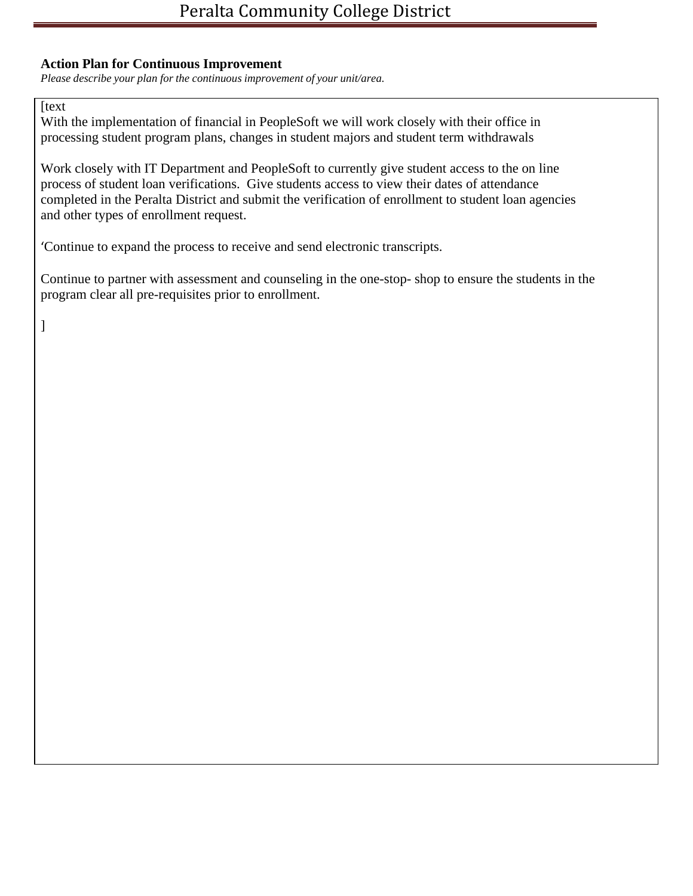### **Action Plan for Continuous Improvement**

*Please describe your plan for the continuous improvement of your unit/area.*

**[text]** 

With the implementation of financial in PeopleSoft we will work closely with their office in processing student program plans, changes in student majors and student term withdrawals

Work closely with IT Department and PeopleSoft to currently give student access to the on line process of student loan verifications. Give students access to view their dates of attendance completed in the Peralta District and submit the verification of enrollment to student loan agencies and other types of enrollment request.

'Continue to expand the process to receive and send electronic transcripts.

Continue to partner with assessment and counseling in the one-stop- shop to ensure the students in the program clear all pre-requisites prior to enrollment.

]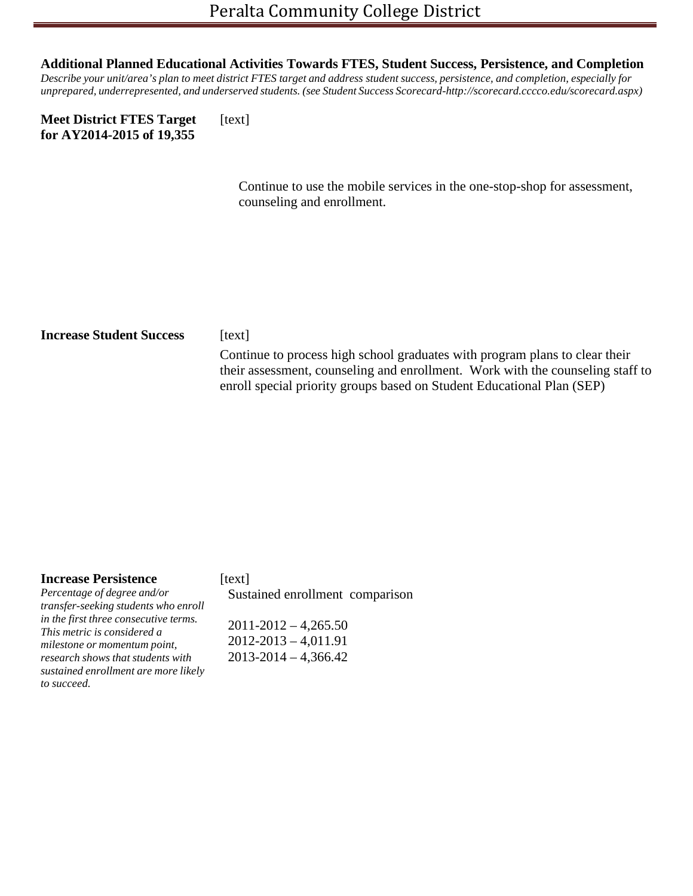#### **Additional Planned Educational Activities Towards FTES, Student Success, Persistence, and Completion**

Describe your unit/area's plan to meet district FTES target and address student success, persistence, and completion, especially for *unprepared, underrepresented, and underserved students. (see Student Success Scorecard[-http://scorecard.cccco.edu/scorecard.aspx\)](http://scorecard.cccco.edu/scorecard.aspx))*

| <b>Meet District FTES Target</b> | [text] |
|----------------------------------|--------|
| for AY2014-2015 of 19,355        |        |

Continue to use the mobile services in the one-stop-shop for assessment, counseling and enrollment.

# **Increase Student Success** [text] Continue to process high school graduates with program plans to clear their their assessment, counseling and enrollment. Work with the counseling staff to enroll special priority groups based on Student Educational Plan (SEP)

#### **Increase Persistence**

*Percentage of degree and/or transfer-seeking students who enroll in the first three consecutive terms. This metric is considered a milestone or momentum point, research shows that students with sustained enrollment are more likely to succeed.*

[text] Sustained enrollment comparison

 2011-2012 – 4,265.50 2012-2013 – 4,011.91 2013-2014 – 4,366.42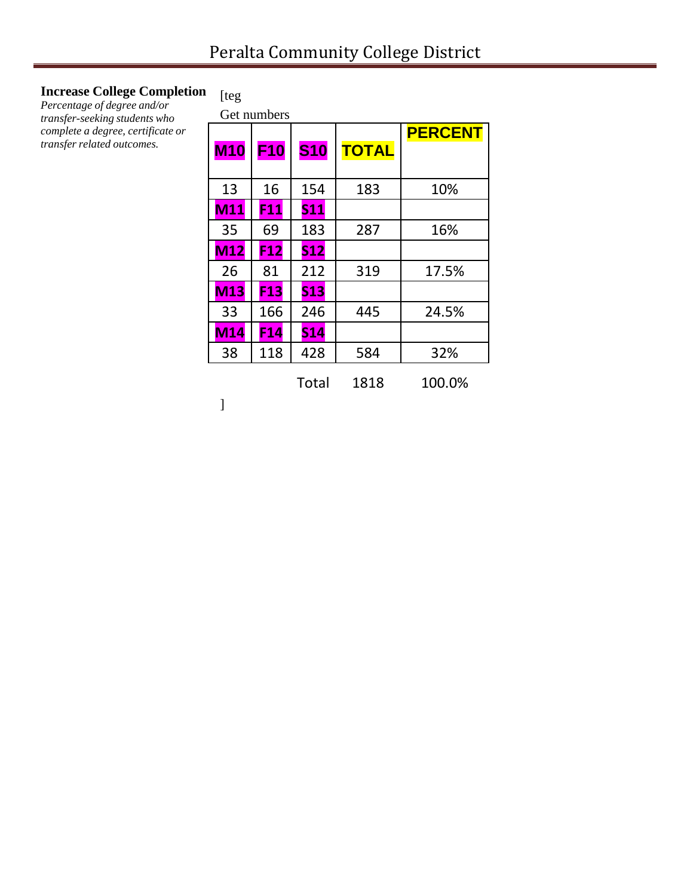# **Increase College Completion**

*Percentage of degree and/or transfer-seeking students who complete a degree, certificate or transfer related outcomes.*

# [teg

|            | Get numbers     |            |              |                |
|------------|-----------------|------------|--------------|----------------|
|            |                 |            |              | <b>PERCENT</b> |
| <b>M10</b> | <b>F10</b>      | <b>S10</b> | <b>TOTAL</b> |                |
|            |                 |            |              |                |
| 13         | 16              | 154        | 183          | 10%            |
| M11        | F11             | <b>S11</b> |              |                |
| 35         | 69              | 183        | 287          | 16%            |
| <b>M12</b> | F <sub>12</sub> | <b>S12</b> |              |                |
| 26         | 81              | 212        | 319          | 17.5%          |
| <b>M13</b> | F <sub>13</sub> | <b>S13</b> |              |                |
| 33         | 166             | 246        | 445          | 24.5%          |
| M14        | F <sub>14</sub> | <b>S14</b> |              |                |
| 38         | 118             | 428        | 584          | 32%            |

|  | Total | 1818 | 100.0% |
|--|-------|------|--------|
|--|-------|------|--------|

]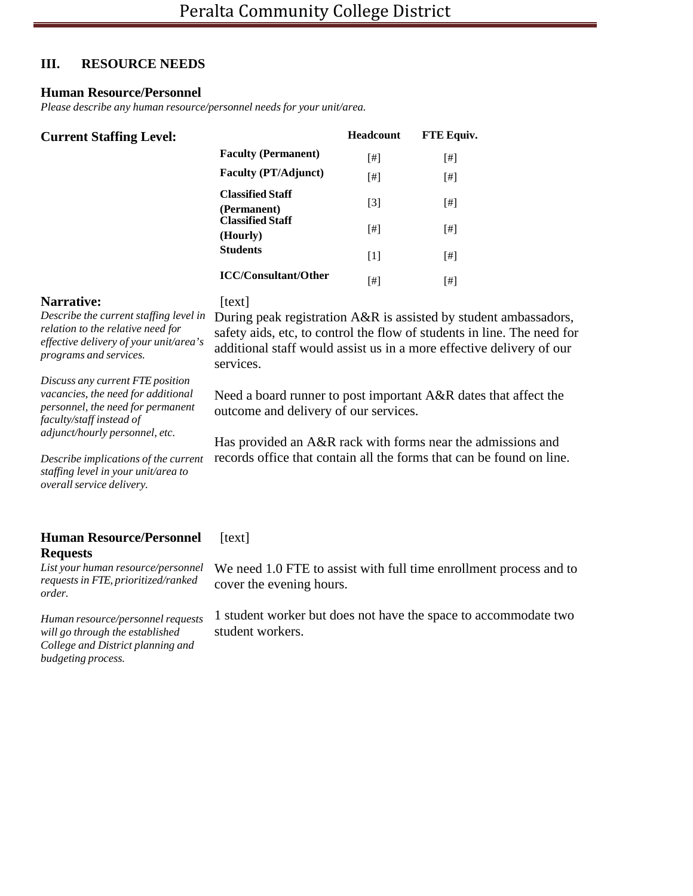### **III. RESOURCE NEEDS**

#### **Human Resource/Personnel**

*Please describe any human resource/personnel needs for your unit/area.*

| <b>Current Staffing Level:</b> |                                        | <b>Headcount</b> | FTE Equiv.                                                                                                                                                                                                                                                                                                                                                                                                                                                                                                                                                                                                                      |
|--------------------------------|----------------------------------------|------------------|---------------------------------------------------------------------------------------------------------------------------------------------------------------------------------------------------------------------------------------------------------------------------------------------------------------------------------------------------------------------------------------------------------------------------------------------------------------------------------------------------------------------------------------------------------------------------------------------------------------------------------|
|                                | <b>Faculty (Permanent)</b>             | [#]              |                                                                                                                                                                                                                                                                                                                                                                                                                                                                                                                                                                                                                                 |
|                                | <b>Faculty (PT/Adjunct)</b>            | [#]              | $[!]% \centering \subfloat[\centering ]{{\includegraphics[width=0.28\textwidth]{figs-pr2.png}}}% \qquad \subfloat[\centering ]{{\includegraphics[width=0.28\textwidth]{figs-pr2.png}}}% \caption{The 3D (black) model for the estimators in Model $1$ and the 3D (black) model for the 3D (black) model for the 3D (black) model for the 3D (black) model for the 3D (black) model for the 3D (black) model for the 3D (black) model for the 3D (black) model for the 3D (black) model for the 3D (black) model for the 3D (black) model for the 3D (black) model for the 3D (black) model for the 3D (black) model for the 3D$ |
|                                | <b>Classified Staff</b><br>(Permanent) | $[3]$            | $[!]$                                                                                                                                                                                                                                                                                                                                                                                                                                                                                                                                                                                                                           |
|                                | <b>Classified Staff</b><br>(Hourly)    | [#]              | [#]                                                                                                                                                                                                                                                                                                                                                                                                                                                                                                                                                                                                                             |
|                                | <b>Students</b>                        | $[1]$            | $[!]% \centering \subfloat[\centering ]{{\includegraphics[width=0.28\textwidth]{figs-pr2.png}}}% \qquad \subfloat[\centering ]{{\includegraphics[width=0.28\textwidth]{figs-pr2.png}}}% \caption{The 3D (black) model for the estimators in Model $1$ and the 3D (black) model for the 3D (black) model for the 3D (black) model for the 3D (black) model for the 3D (black) model for the 3D (black) model for the 3D (black) model for the 3D (black) model for the 3D (black) model for the 3D (black) model for the 3D (black) model for the 3D (black) model for the 3D (black) model for the 3D (black) model for the 3D$ |
|                                | <b>ICC/Consultant/Other</b>            | $^{[ \#]}$       | [#]                                                                                                                                                                                                                                                                                                                                                                                                                                                                                                                                                                                                                             |

outcome and delivery of our services.

#### **Narrative:**

#### [text]

services.

*Describe the current staffing level in relation to the relative need for effective delivery of your unit/area's programs and services.*

*Discuss any current FTE position vacancies, the need for additional personnel, the need for permanent faculty/staff instead of adjunct/hourly personnel, etc.*

*Describe implications of the current staffing level in your unit/area to overallservice delivery.*

#### **Human Resource/Personnel Requests**

[text]

*List your human resource/personnel requests in FTE, prioritized/ranked order.*

*Human resource/personnel requests will go through the established College and District planning and budgeting process.*

We need 1.0 FTE to assist with full time enrollment process and to cover the evening hours.

During peak registration A&R is assisted by student ambassadors, safety aids, etc, to control the flow of students in line. The need for additional staff would assist us in a more effective delivery of our

Need a board runner to post important A&R dates that affect the

Has provided an A&R rack with forms near the admissions and records office that contain all the forms that can be found on line.

1 student worker but does not have the space to accommodate two student workers.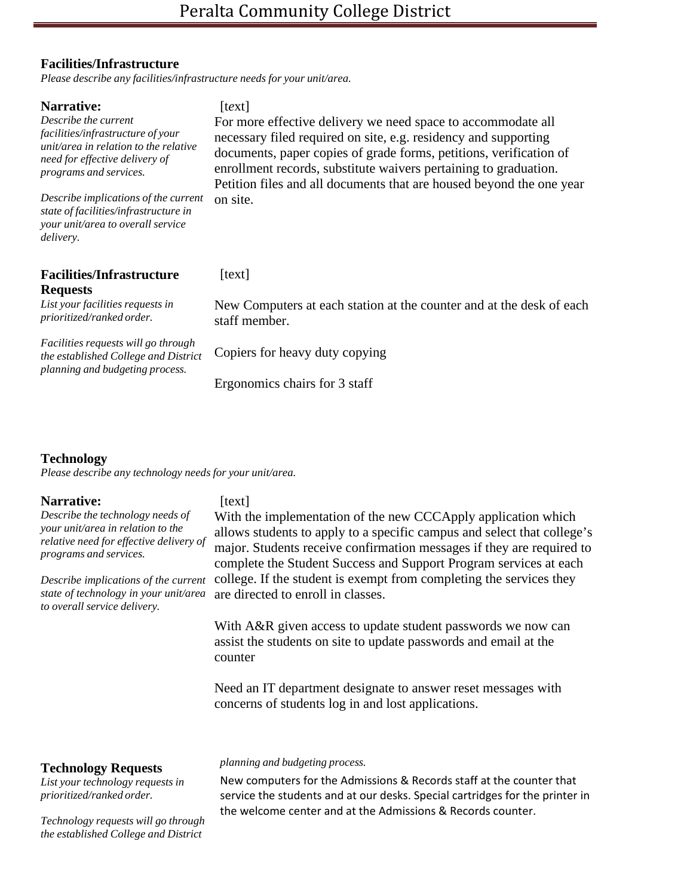#### **Facilities/Infrastructure**

*Please describe any facilities/infrastructure needs for your unit/area.*

| <b>Narrative:</b><br>Describe the current<br>facilities/infrastructure of your<br>unit/area in relation to the relative<br>need for effective delivery of<br>programs and services.<br>Describe implications of the current<br>state of facilities/infrastructure in<br>your unit/area to overall service<br>delivery. | [text]<br>For more effective delivery we need space to accommodate all<br>necessary filed required on site, e.g. residency and supporting<br>documents, paper copies of grade forms, petitions, verification of<br>enrollment records, substitute waivers pertaining to graduation.<br>Petition files and all documents that are housed beyond the one year<br>on site. |
|------------------------------------------------------------------------------------------------------------------------------------------------------------------------------------------------------------------------------------------------------------------------------------------------------------------------|-------------------------------------------------------------------------------------------------------------------------------------------------------------------------------------------------------------------------------------------------------------------------------------------------------------------------------------------------------------------------|
| <b>Facilities/Infrastructure</b><br><b>Requests</b>                                                                                                                                                                                                                                                                    | [text]                                                                                                                                                                                                                                                                                                                                                                  |
| List your facilities requests in<br>prioritized/ranked order.                                                                                                                                                                                                                                                          | New Computers at each station at the counter and at the desk of each<br>staff member.                                                                                                                                                                                                                                                                                   |
| <i>Facilities requests will go through</i><br>the established College and District                                                                                                                                                                                                                                     | Copiers for heavy duty copying                                                                                                                                                                                                                                                                                                                                          |
| planning and budgeting process.                                                                                                                                                                                                                                                                                        | Ergonomics chairs for 3 staff                                                                                                                                                                                                                                                                                                                                           |

#### **Technology**

*Please describe any technology needs for your unit/area.*

#### **Narrative:**

*Describe the technology needs of your unit/area in relation to the relative need for effective delivery of programs and services.*

*Describe implications of the current state of technology in your unit/area to overall service delivery.*

#### [text]

With the implementation of the new CCCApply application which allows students to apply to a specific campus and select that college's major. Students receive confirmation messages if they are required to complete the Student Success and Support Program services at each college. If the student is exempt from completing the services they are directed to enroll in classes.

With A&R given access to update student passwords we now can assist the students on site to update passwords and email at the counter

Need an IT department designate to answer reset messages with concerns of students log in and lost applications.

#### **Technology Requests**

*List your technology requests in prioritized/ranked order.*

# *planning and budgeting process.*

New computers for the Admissions & Records staff at the counter that service the students and at our desks. Special cartridges for the printer in the welcome center and at the Admissions & Records counter.

*Technology requests will go through the established College and District*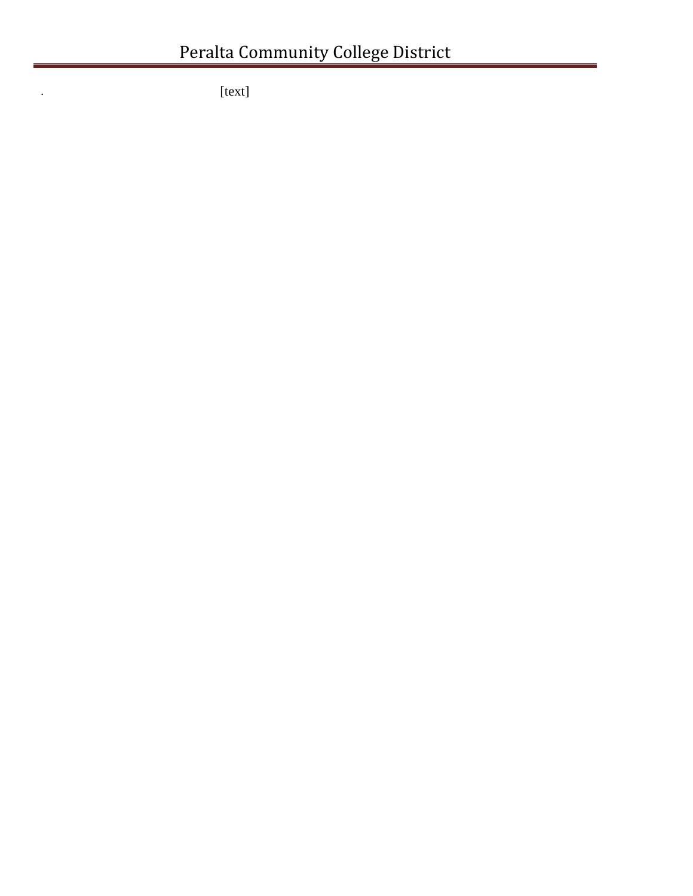. [text]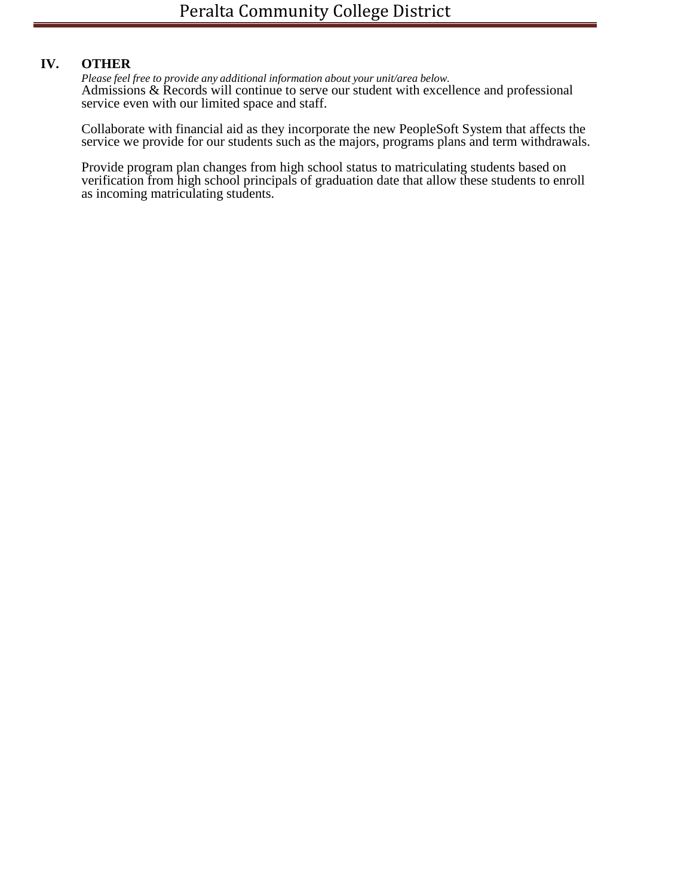# **IV. OTHER**

*Please feel free to provide any additional information about your unit/area below.* Admissions & Records will continue to serve our student with excellence and professional service even with our limited space and staff.

Collaborate with financial aid as they incorporate the new PeopleSoft System that affects the service we provide for our students such as the majors, programs plans and term withdrawals.

Provide program plan changes from high school status to matriculating students based on verification from high school principals of graduation date that allow these students to enroll as incoming matriculating students.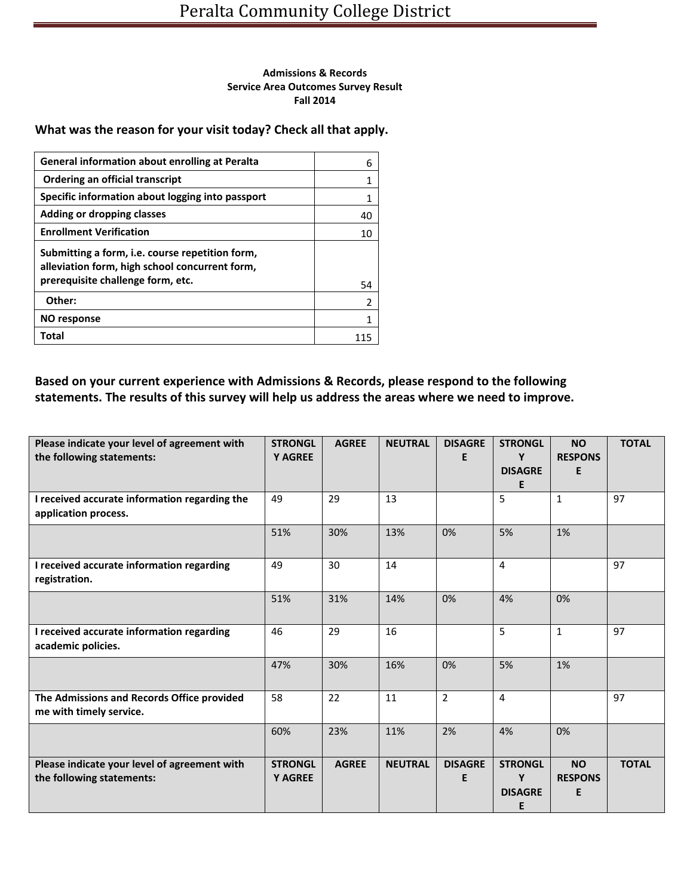#### **Admissions & Records Service Area Outcomes Survey Result Fall 2014**

#### **What was the reason for your visit today? Check all that apply.**

| <b>General information about enrolling at Peralta</b>                                             | 6              |
|---------------------------------------------------------------------------------------------------|----------------|
| Ordering an official transcript                                                                   | 1              |
| Specific information about logging into passport                                                  | 1              |
| Adding or dropping classes                                                                        | 40             |
| <b>Enrollment Verification</b>                                                                    | 10             |
| Submitting a form, i.e. course repetition form,<br>alleviation form, high school concurrent form, |                |
| prerequisite challenge form, etc.                                                                 | 54             |
| Other:                                                                                            | $\overline{2}$ |
| NO response                                                                                       | 1              |
| Total                                                                                             |                |

# **Based on your current experience with Admissions & Records, please respond to the following statements. The results of this survey will help us address the areas where we need to improve.**

| Please indicate your level of agreement with<br>the following statements: | <b>STRONGL</b><br><b>Y AGREE</b> | <b>AGREE</b> | <b>NEUTRAL</b> | <b>DISAGRE</b><br>E. | <b>STRONGL</b><br>Y<br><b>DISAGRE</b><br>E | <b>NO</b><br><b>RESPONS</b><br>E | <b>TOTAL</b> |
|---------------------------------------------------------------------------|----------------------------------|--------------|----------------|----------------------|--------------------------------------------|----------------------------------|--------------|
| I received accurate information regarding the<br>application process.     | 49                               | 29           | 13             |                      | 5                                          | $\mathbf{1}$                     | 97           |
|                                                                           | 51%                              | 30%          | 13%            | 0%                   | 5%                                         | 1%                               |              |
| I received accurate information regarding<br>registration.                | 49                               | 30           | 14             |                      | $\overline{4}$                             |                                  | 97           |
|                                                                           | 51%                              | 31%          | 14%            | 0%                   | 4%                                         | 0%                               |              |
| I received accurate information regarding<br>academic policies.           | 46                               | 29           | 16             |                      | 5                                          | $\mathbf{1}$                     | 97           |
|                                                                           | 47%                              | 30%          | 16%            | 0%                   | 5%                                         | 1%                               |              |
| The Admissions and Records Office provided<br>me with timely service.     | 58                               | 22           | 11             | $\overline{2}$       | $\overline{4}$                             |                                  | 97           |
|                                                                           | 60%                              | 23%          | 11%            | 2%                   | 4%                                         | 0%                               |              |
| Please indicate your level of agreement with<br>the following statements: | <b>STRONGL</b><br><b>Y AGREE</b> | <b>AGREE</b> | <b>NEUTRAL</b> | <b>DISAGRE</b><br>E  | <b>STRONGL</b><br>Y<br><b>DISAGRE</b><br>E | <b>NO</b><br><b>RESPONS</b><br>E | <b>TOTAL</b> |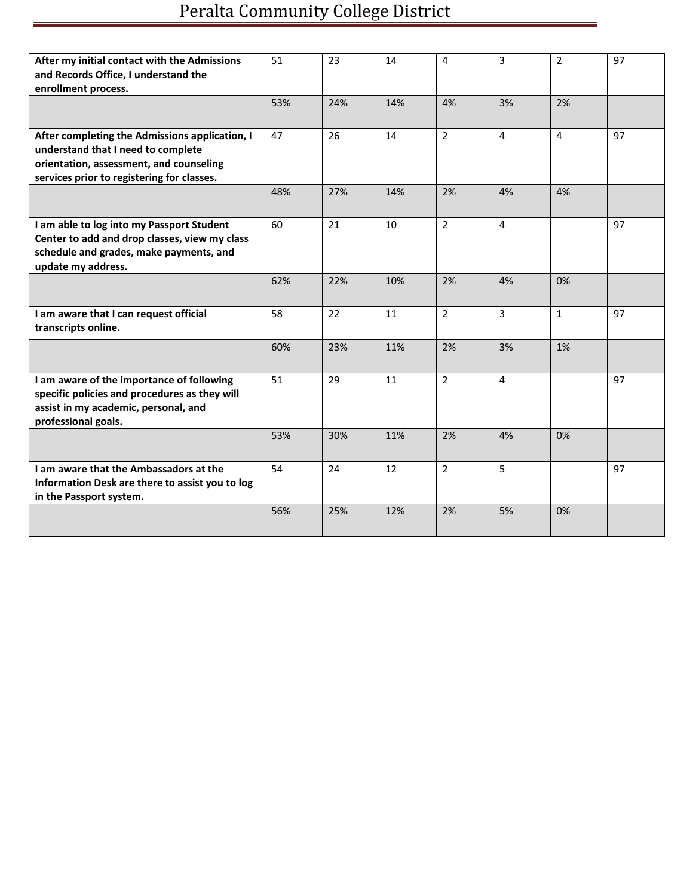# Peralta Community College District

| After my initial contact with the Admissions    | 51  | 23  | 14  | 4              | 3              | $\overline{2}$ | 97 |
|-------------------------------------------------|-----|-----|-----|----------------|----------------|----------------|----|
| and Records Office, I understand the            |     |     |     |                |                |                |    |
| enrollment process.                             |     |     |     |                |                |                |    |
|                                                 | 53% | 24% | 14% | 4%             | 3%             | 2%             |    |
|                                                 |     |     |     |                |                |                |    |
| After completing the Admissions application, I  | 47  | 26  | 14  | $\overline{2}$ | 4              | $\overline{4}$ | 97 |
| understand that I need to complete              |     |     |     |                |                |                |    |
| orientation, assessment, and counseling         |     |     |     |                |                |                |    |
| services prior to registering for classes.      |     |     |     |                |                |                |    |
|                                                 | 48% | 27% | 14% | 2%             | 4%             | 4%             |    |
|                                                 |     |     |     |                |                |                |    |
| I am able to log into my Passport Student       | 60  | 21  | 10  | $\overline{2}$ | 4              |                | 97 |
| Center to add and drop classes, view my class   |     |     |     |                |                |                |    |
| schedule and grades, make payments, and         |     |     |     |                |                |                |    |
| update my address.                              |     |     |     |                |                |                |    |
|                                                 | 62% | 22% | 10% | 2%             | 4%             | 0%             |    |
|                                                 |     |     |     |                |                |                |    |
| I am aware that I can request official          | 58  | 22  | 11  | $\overline{2}$ | $\overline{3}$ | $\mathbf{1}$   | 97 |
| transcripts online.                             |     |     |     |                |                |                |    |
|                                                 | 60% | 23% | 11% | 2%             | 3%             | 1%             |    |
|                                                 |     |     |     |                |                |                |    |
| I am aware of the importance of following       | 51  | 29  | 11  | $\overline{2}$ | 4              |                | 97 |
| specific policies and procedures as they will   |     |     |     |                |                |                |    |
| assist in my academic, personal, and            |     |     |     |                |                |                |    |
| professional goals.                             |     |     |     |                |                |                |    |
|                                                 | 53% | 30% | 11% | 2%             | 4%             | 0%             |    |
|                                                 |     |     |     |                |                |                |    |
| I am aware that the Ambassadors at the          | 54  | 24  | 12  | $\overline{2}$ | 5              |                | 97 |
| Information Desk are there to assist you to log |     |     |     |                |                |                |    |
| in the Passport system.                         |     |     |     |                |                |                |    |
|                                                 | 56% | 25% | 12% | 2%             | 5%             | 0%             |    |
|                                                 |     |     |     |                |                |                |    |
|                                                 |     |     |     |                |                |                |    |